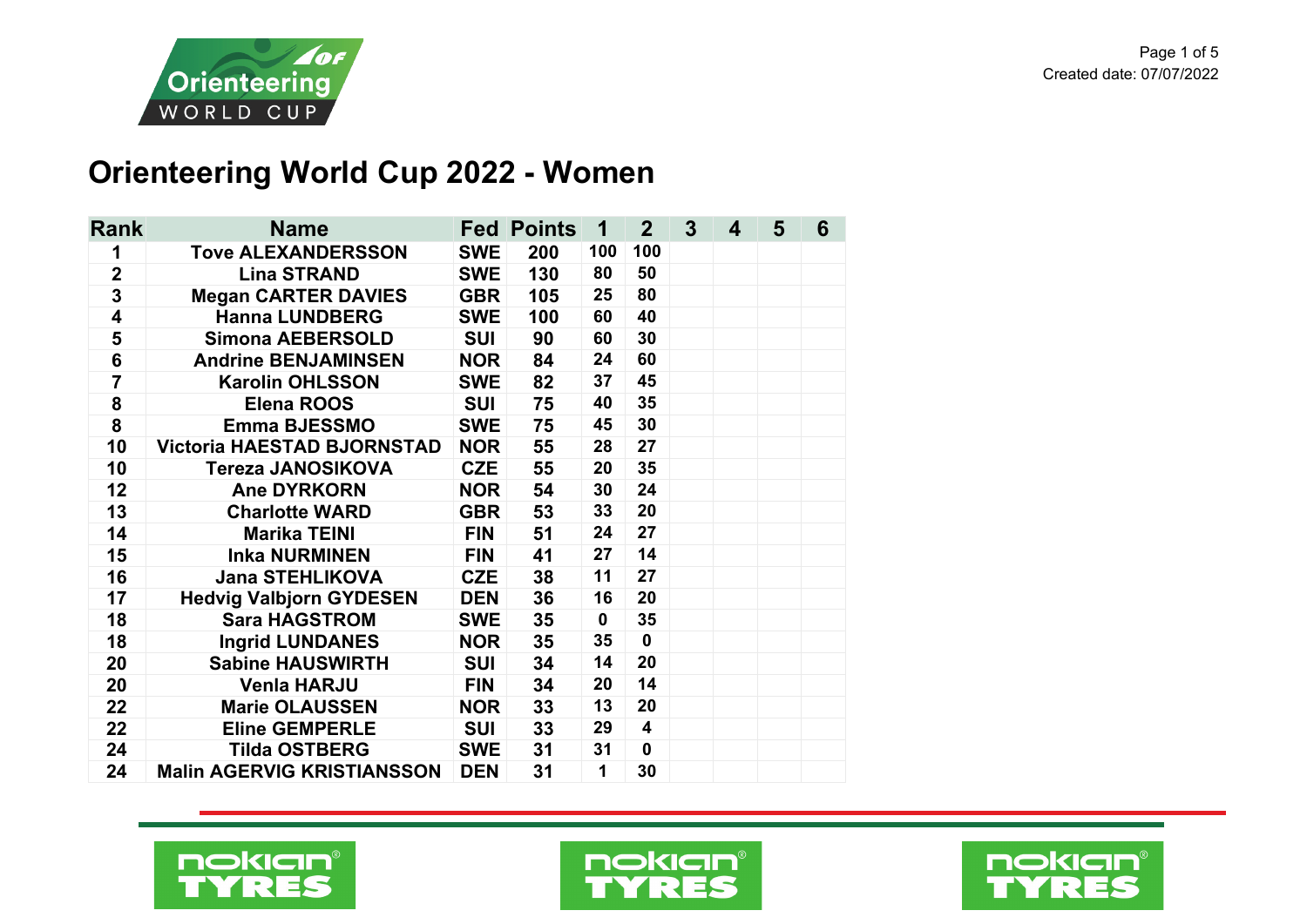

## **Orienteering World Cup 2022 - Women**

| <b>Rank</b>             | <b>Name</b>                       |            | <b>Fed Points</b> | 1            | 2 <sup>2</sup>          | $\mathbf{3}$ | 4 | 5 | 6 |
|-------------------------|-----------------------------------|------------|-------------------|--------------|-------------------------|--------------|---|---|---|
| 1                       | <b>Tove ALEXANDERSSON</b>         | <b>SWE</b> | 200               | 100          | 100                     |              |   |   |   |
| $\overline{\mathbf{2}}$ | <b>Lina STRAND</b>                | <b>SWE</b> | 130               | 80           | 50                      |              |   |   |   |
| 3                       | <b>Megan CARTER DAVIES</b>        | <b>GBR</b> | 105               | 25           | 80                      |              |   |   |   |
| $\overline{\mathbf{4}}$ | <b>Hanna LUNDBERG</b>             | <b>SWE</b> | 100               | 60           | 40                      |              |   |   |   |
| 5                       | <b>Simona AEBERSOLD</b>           | <b>SUI</b> | 90                | 60           | 30                      |              |   |   |   |
| 6                       | <b>Andrine BENJAMINSEN</b>        | <b>NOR</b> | 84                | 24           | 60                      |              |   |   |   |
| $\overline{7}$          | <b>Karolin OHLSSON</b>            | <b>SWE</b> | 82                | 37           | 45                      |              |   |   |   |
| 8                       | Elena ROOS                        | <b>SUI</b> | 75                | 40           | 35                      |              |   |   |   |
| 8                       | <b>Emma BJESSMO</b>               | <b>SWE</b> | 75                | 45           | 30                      |              |   |   |   |
| 10                      | <b>Victoria HAESTAD BJORNSTAD</b> | <b>NOR</b> | 55                | 28           | 27                      |              |   |   |   |
| 10                      | <b>Tereza JANOSIKOVA</b>          | <b>CZE</b> | 55                | 20           | 35                      |              |   |   |   |
| 12                      | <b>Ane DYRKORN</b>                | <b>NOR</b> | 54                | 30           | 24                      |              |   |   |   |
| 13                      | <b>Charlotte WARD</b>             | <b>GBR</b> | 53                | 33           | 20                      |              |   |   |   |
| 14                      | <b>Marika TEINI</b>               | <b>FIN</b> | 51                | 24           | 27                      |              |   |   |   |
| 15                      | <b>Inka NURMINEN</b>              | <b>FIN</b> | 41                | 27           | 14                      |              |   |   |   |
| 16                      | <b>Jana STEHLIKOVA</b>            | <b>CZE</b> | 38                | 11           | 27                      |              |   |   |   |
| 17                      | <b>Hedvig Valbjorn GYDESEN</b>    | <b>DEN</b> | 36                | 16           | 20                      |              |   |   |   |
| 18                      | <b>Sara HAGSTROM</b>              | <b>SWE</b> | 35                | $\mathbf 0$  | 35                      |              |   |   |   |
| 18                      | <b>Ingrid LUNDANES</b>            | <b>NOR</b> | 35                | 35           | $\mathbf 0$             |              |   |   |   |
| 20                      | <b>Sabine HAUSWIRTH</b>           | <b>SUI</b> | 34                | 14           | 20                      |              |   |   |   |
| 20                      | <b>Venla HARJU</b>                | <b>FIN</b> | 34                | 20           | 14                      |              |   |   |   |
| 22                      | <b>Marie OLAUSSEN</b>             | <b>NOR</b> | 33                | 13           | 20                      |              |   |   |   |
| 22                      | <b>Eline GEMPERLE</b>             | <b>SUI</b> | 33                | 29           | $\overline{\mathbf{4}}$ |              |   |   |   |
| 24                      | <b>Tilda OSTBERG</b>              | <b>SWE</b> | 31                | 31           | $\mathbf 0$             |              |   |   |   |
| 24                      | <b>Malin AGERVIG KRISTIANSSON</b> | <b>DEN</b> | 31                | $\mathbf{1}$ | 30                      |              |   |   |   |





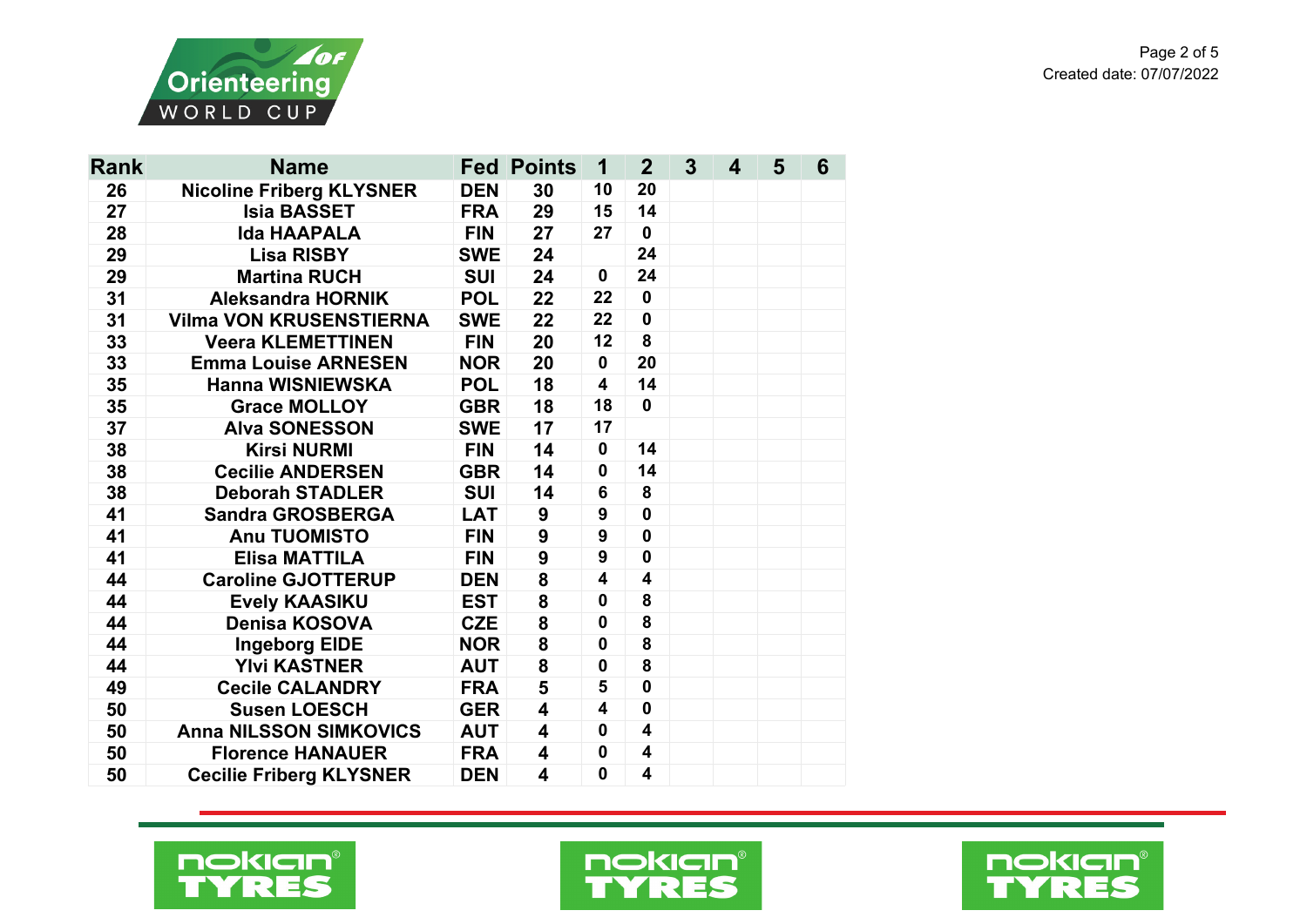

| <b>Rank</b> | <b>Name</b>                     |            | <b>Fed Points</b>       | 1                       | $\mathbf{2}$            | 3 <sup>5</sup> | 4 | 5 | 6 |
|-------------|---------------------------------|------------|-------------------------|-------------------------|-------------------------|----------------|---|---|---|
| 26          | <b>Nicoline Friberg KLYSNER</b> | <b>DEN</b> | 30                      | 10                      | 20                      |                |   |   |   |
| 27          | <b>Isia BASSET</b>              | <b>FRA</b> | 29                      | 15                      | 14                      |                |   |   |   |
| 28          | <b>Ida HAAPALA</b>              | <b>FIN</b> | 27                      | 27                      | $\mathbf 0$             |                |   |   |   |
| 29          | <b>Lisa RISBY</b>               | <b>SWE</b> | 24                      |                         | 24                      |                |   |   |   |
| 29          | <b>Martina RUCH</b>             | <b>SUI</b> | 24                      | $\mathbf 0$             | 24                      |                |   |   |   |
| 31          | <b>Aleksandra HORNIK</b>        | <b>POL</b> | 22                      | 22                      | $\mathbf 0$             |                |   |   |   |
| 31          | <b>Vilma VON KRUSENSTIERNA</b>  | <b>SWE</b> | 22                      | 22                      | $\mathbf 0$             |                |   |   |   |
| 33          | <b>Veera KLEMETTINEN</b>        | <b>FIN</b> | 20                      | 12                      | 8                       |                |   |   |   |
| 33          | <b>Emma Louise ARNESEN</b>      | <b>NOR</b> | 20                      | $\mathbf 0$             | 20                      |                |   |   |   |
| 35          | <b>Hanna WISNIEWSKA</b>         | <b>POL</b> | 18                      | $\overline{\mathbf{4}}$ | 14                      |                |   |   |   |
| 35          | <b>Grace MOLLOY</b>             | <b>GBR</b> | 18                      | 18                      | $\mathbf 0$             |                |   |   |   |
| 37          | <b>Alva SONESSON</b>            | <b>SWE</b> | 17                      | 17                      |                         |                |   |   |   |
| 38          | <b>Kirsi NURMI</b>              | <b>FIN</b> | 14                      | $\mathbf 0$             | 14                      |                |   |   |   |
| 38          | <b>Cecilie ANDERSEN</b>         | <b>GBR</b> | 14                      | $\mathbf 0$             | 14                      |                |   |   |   |
| 38          | <b>Deborah STADLER</b>          | <b>SUI</b> | 14                      | 6                       | 8                       |                |   |   |   |
| 41          | <b>Sandra GROSBERGA</b>         | <b>LAT</b> | 9                       | 9                       | 0                       |                |   |   |   |
| 41          | <b>Anu TUOMISTO</b>             | <b>FIN</b> | 9                       | $\boldsymbol{9}$        | $\mathbf 0$             |                |   |   |   |
| 41          | <b>Elisa MATTILA</b>            | <b>FIN</b> | 9                       | 9                       | $\mathbf 0$             |                |   |   |   |
| 44          | <b>Caroline GJOTTERUP</b>       | <b>DEN</b> | 8                       | $\overline{\mathbf{4}}$ | 4                       |                |   |   |   |
| 44          | <b>Evely KAASIKU</b>            | <b>EST</b> | 8                       | $\mathbf 0$             | 8                       |                |   |   |   |
| 44          | <b>Denisa KOSOVA</b>            | <b>CZE</b> | 8                       | $\mathbf 0$             | 8                       |                |   |   |   |
| 44          | <b>Ingeborg EIDE</b>            | <b>NOR</b> | 8                       | $\mathbf 0$             | 8                       |                |   |   |   |
| 44          | <b>Ylvi KASTNER</b>             | <b>AUT</b> | 8                       | $\mathbf 0$             | 8                       |                |   |   |   |
| 49          | <b>Cecile CALANDRY</b>          | <b>FRA</b> | 5                       | 5                       | $\mathbf 0$             |                |   |   |   |
| 50          | <b>Susen LOESCH</b>             | <b>GER</b> | $\overline{\mathbf{4}}$ | $\overline{\mathbf{4}}$ | $\mathbf 0$             |                |   |   |   |
| 50          | <b>Anna NILSSON SIMKOVICS</b>   | <b>AUT</b> | 4                       | 0                       | 4                       |                |   |   |   |
| 50          | <b>Florence HANAUER</b>         | <b>FRA</b> | $\overline{\mathbf{4}}$ | $\mathbf 0$             | $\overline{\mathbf{4}}$ |                |   |   |   |
| 50          | <b>Cecilie Friberg KLYSNER</b>  | <b>DEN</b> | 4                       | $\mathbf{0}$            | 4                       |                |   |   |   |





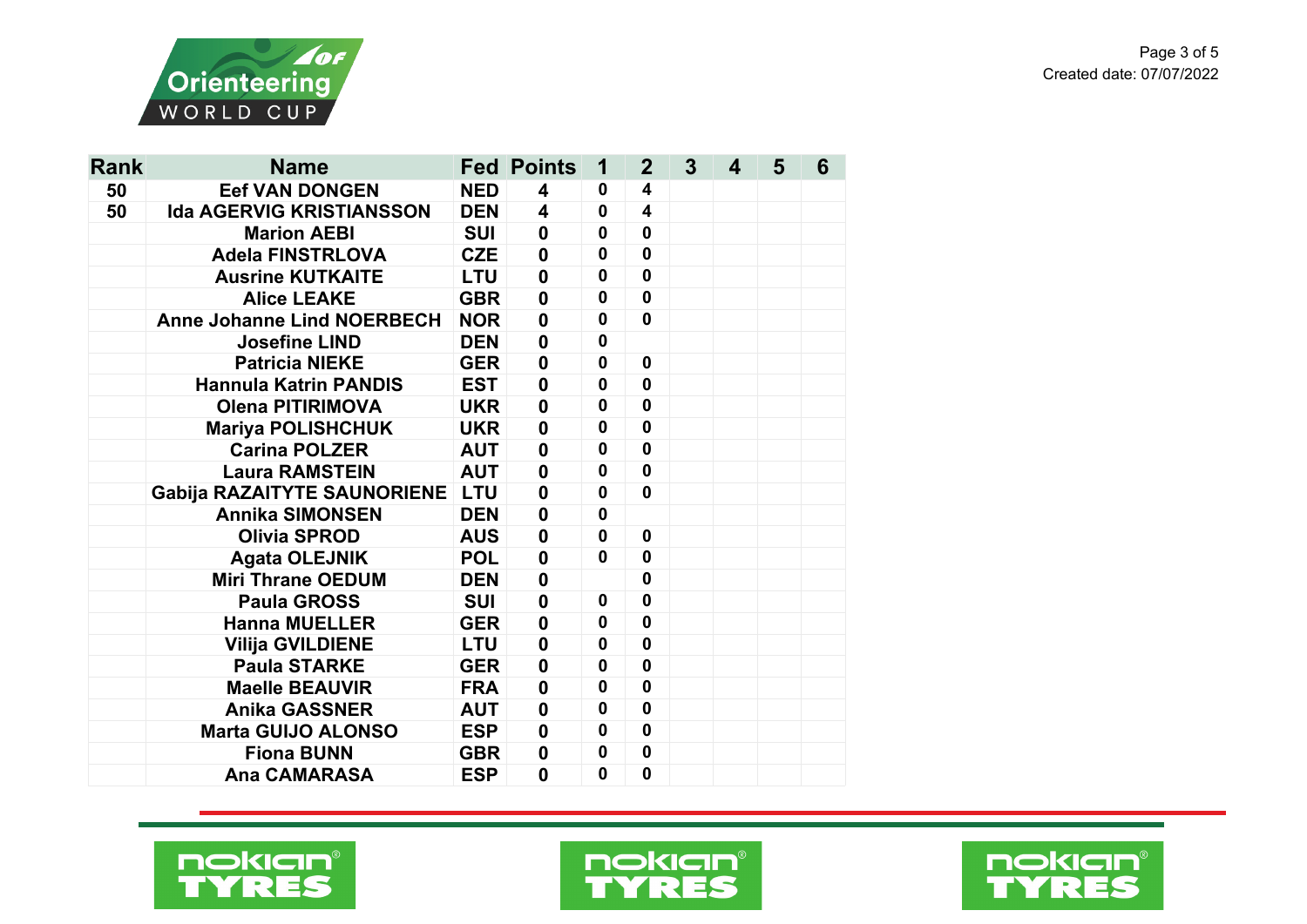

| Rank | <b>Name</b>                       |            | <b>Fed Points</b>       | 1            | $\mathbf{2}$            | $\overline{3}$ | 4 | 5 | 6 |
|------|-----------------------------------|------------|-------------------------|--------------|-------------------------|----------------|---|---|---|
| 50   | <b>Eef VAN DONGEN</b>             | <b>NED</b> | 4                       | 0            | 4                       |                |   |   |   |
| 50   | <b>Ida AGERVIG KRISTIANSSON</b>   | <b>DEN</b> | $\overline{\mathbf{4}}$ | $\mathbf 0$  | $\overline{\mathbf{4}}$ |                |   |   |   |
|      | <b>Marion AEBI</b>                | <b>SUI</b> | $\mathbf 0$             | $\mathbf 0$  | $\mathbf 0$             |                |   |   |   |
|      | <b>Adela FINSTRLOVA</b>           | <b>CZE</b> | $\boldsymbol{0}$        | $\mathbf 0$  | $\mathbf{0}$            |                |   |   |   |
|      | <b>Ausrine KUTKAITE</b>           | <b>LTU</b> | $\boldsymbol{0}$        | $\mathbf 0$  | $\mathbf 0$             |                |   |   |   |
|      | <b>Alice LEAKE</b>                | <b>GBR</b> | $\mathbf 0$             | $\mathbf 0$  | $\mathbf 0$             |                |   |   |   |
|      | <b>Anne Johanne Lind NOERBECH</b> | <b>NOR</b> | $\mathbf 0$             | $\mathbf 0$  | $\mathbf 0$             |                |   |   |   |
|      | <b>Josefine LIND</b>              | <b>DEN</b> | $\mathbf 0$             | $\mathbf 0$  |                         |                |   |   |   |
|      | <b>Patricia NIEKE</b>             | <b>GER</b> | $\boldsymbol{0}$        | $\mathbf 0$  | $\mathbf 0$             |                |   |   |   |
|      | <b>Hannula Katrin PANDIS</b>      | <b>EST</b> | $\mathbf 0$             | 0            | $\mathbf 0$             |                |   |   |   |
|      | <b>Olena PITIRIMOVA</b>           | <b>UKR</b> | $\mathbf 0$             | 0            | $\mathbf{0}$            |                |   |   |   |
|      | <b>Mariya POLISHCHUK</b>          | <b>UKR</b> | $\mathbf 0$             | 0            | $\mathbf 0$             |                |   |   |   |
|      | <b>Carina POLZER</b>              | <b>AUT</b> | $\mathbf 0$             | $\mathbf 0$  | $\mathbf 0$             |                |   |   |   |
|      | <b>Laura RAMSTEIN</b>             | <b>AUT</b> | $\mathbf 0$             | $\mathbf 0$  | $\mathbf 0$             |                |   |   |   |
|      | Gabija RAZAITYTE SAUNORIENE LTU   |            | $\mathbf 0$             | $\mathbf{0}$ | $\mathbf 0$             |                |   |   |   |
|      | <b>Annika SIMONSEN</b>            | <b>DEN</b> | $\mathbf 0$             | 0            |                         |                |   |   |   |
|      | <b>Olivia SPROD</b>               | <b>AUS</b> | $\boldsymbol{0}$        | 0            | $\mathbf 0$             |                |   |   |   |
|      | <b>Agata OLEJNIK</b>              | <b>POL</b> | $\mathbf 0$             | $\mathbf 0$  | $\mathbf{0}$            |                |   |   |   |
|      | <b>Miri Thrane OEDUM</b>          | <b>DEN</b> | $\boldsymbol{0}$        |              | $\mathbf 0$             |                |   |   |   |
|      | <b>Paula GROSS</b>                | <b>SUI</b> | $\mathbf 0$             | $\mathbf 0$  | $\mathbf 0$             |                |   |   |   |
|      | <b>Hanna MUELLER</b>              | <b>GER</b> | $\mathbf 0$             | $\mathbf 0$  | $\mathbf 0$             |                |   |   |   |
|      | <b>Vilija GVILDIENE</b>           | <b>LTU</b> | $\mathbf 0$             | $\mathbf 0$  | $\mathbf 0$             |                |   |   |   |
|      | <b>Paula STARKE</b>               | <b>GER</b> | $\mathbf 0$             | 0            | $\mathbf 0$             |                |   |   |   |
|      | <b>Maelle BEAUVIR</b>             | <b>FRA</b> | $\mathbf 0$             | $\mathbf 0$  | $\mathbf 0$             |                |   |   |   |
|      | <b>Anika GASSNER</b>              | <b>AUT</b> | $\mathbf 0$             | $\mathbf 0$  | $\mathbf 0$             |                |   |   |   |
|      | <b>Marta GUIJO ALONSO</b>         | <b>ESP</b> | $\mathbf 0$             | $\mathbf 0$  | $\mathbf 0$             |                |   |   |   |
|      | <b>Fiona BUNN</b>                 | <b>GBR</b> | $\mathbf 0$             | $\mathbf 0$  | $\mathbf 0$             |                |   |   |   |
|      | <b>Ana CAMARASA</b>               | <b>ESP</b> | $\mathbf 0$             | 0            | $\mathbf 0$             |                |   |   |   |





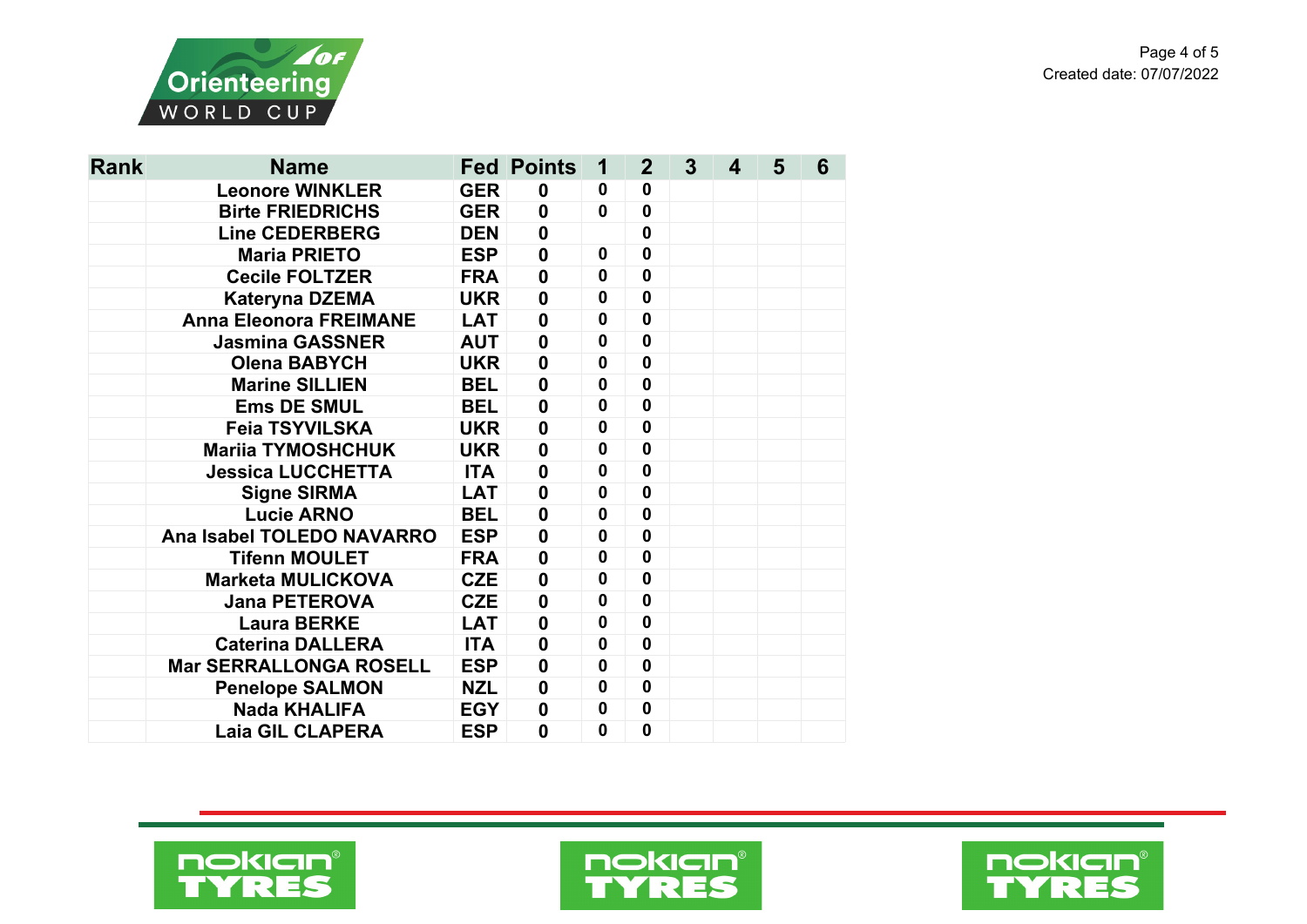

| <b>Rank</b> | <b>Name</b>                   |            | <b>Fed Points</b> | 1            | $\overline{2}$ | 3 | 4 | 5 | 6 |
|-------------|-------------------------------|------------|-------------------|--------------|----------------|---|---|---|---|
|             | <b>Leonore WINKLER</b>        | <b>GER</b> | 0                 | 0            | 0              |   |   |   |   |
|             | <b>Birte FRIEDRICHS</b>       | <b>GER</b> | $\mathbf 0$       | $\mathbf 0$  | $\mathbf 0$    |   |   |   |   |
|             | <b>Line CEDERBERG</b>         | <b>DEN</b> | $\mathbf 0$       |              | $\mathbf 0$    |   |   |   |   |
|             | <b>Maria PRIETO</b>           | <b>ESP</b> | $\boldsymbol{0}$  | $\mathbf 0$  | $\mathbf{0}$   |   |   |   |   |
|             | <b>Cecile FOLTZER</b>         | <b>FRA</b> | $\mathbf 0$       | $\mathbf 0$  | $\mathbf{0}$   |   |   |   |   |
|             | <b>Kateryna DZEMA</b>         | <b>UKR</b> | $\mathbf 0$       | $\mathbf{0}$ | $\mathbf{0}$   |   |   |   |   |
|             | <b>Anna Eleonora FREIMANE</b> | <b>LAT</b> | $\mathbf 0$       | $\mathbf 0$  | $\mathbf{0}$   |   |   |   |   |
|             | <b>Jasmina GASSNER</b>        | <b>AUT</b> | $\mathbf 0$       | $\mathbf 0$  | $\mathbf{0}$   |   |   |   |   |
|             | <b>Olena BABYCH</b>           | <b>UKR</b> | $\mathbf 0$       | $\mathbf 0$  | $\mathbf 0$    |   |   |   |   |
|             | <b>Marine SILLIEN</b>         | <b>BEL</b> | $\boldsymbol{0}$  | $\mathbf 0$  | $\mathbf 0$    |   |   |   |   |
|             | <b>Ems DE SMUL</b>            | <b>BEL</b> | $\mathbf{0}$      | $\mathbf 0$  | $\mathbf{0}$   |   |   |   |   |
|             | <b>Feia TSYVILSKA</b>         | <b>UKR</b> | $\boldsymbol{0}$  | 0            | $\mathbf 0$    |   |   |   |   |
|             | <b>Mariia TYMOSHCHUK</b>      | <b>UKR</b> | $\mathbf 0$       | 0            | $\mathbf 0$    |   |   |   |   |
|             | <b>Jessica LUCCHETTA</b>      | <b>ITA</b> | $\boldsymbol{0}$  | $\mathbf 0$  | $\mathbf 0$    |   |   |   |   |
|             | <b>Signe SIRMA</b>            | <b>LAT</b> | $\boldsymbol{0}$  | $\mathbf 0$  | $\mathbf 0$    |   |   |   |   |
|             | <b>Lucie ARNO</b>             | <b>BEL</b> | $\mathbf 0$       | $\mathbf 0$  | $\mathbf{0}$   |   |   |   |   |
|             | Ana Isabel TOLEDO NAVARRO     | <b>ESP</b> | $\mathbf 0$       | $\mathbf 0$  | $\mathbf 0$    |   |   |   |   |
|             | <b>Tifenn MOULET</b>          | <b>FRA</b> | $\mathbf 0$       | $\mathbf 0$  | $\mathbf{0}$   |   |   |   |   |
|             | <b>Marketa MULICKOVA</b>      | <b>CZE</b> | $\mathbf 0$       | $\mathbf{0}$ | $\mathbf{0}$   |   |   |   |   |
|             | <b>Jana PETEROVA</b>          | <b>CZE</b> | $\boldsymbol{0}$  | 0            | $\mathbf{0}$   |   |   |   |   |
|             | <b>Laura BERKE</b>            | <b>LAT</b> | $\mathbf 0$       | 0            | $\mathbf{0}$   |   |   |   |   |
|             | <b>Caterina DALLERA</b>       | <b>ITA</b> | $\mathbf 0$       | $\mathbf 0$  | $\mathbf 0$    |   |   |   |   |
|             | <b>Mar SERRALLONGA ROSELL</b> | <b>ESP</b> | $\boldsymbol{0}$  | 0            | $\mathbf 0$    |   |   |   |   |
|             | <b>Penelope SALMON</b>        | <b>NZL</b> | $\boldsymbol{0}$  | $\mathbf 0$  | $\mathbf 0$    |   |   |   |   |
|             | <b>Nada KHALIFA</b>           | <b>EGY</b> | $\boldsymbol{0}$  | 0            | $\mathbf 0$    |   |   |   |   |
|             | <b>Laia GIL CLAPERA</b>       | <b>ESP</b> | $\mathbf{0}$      | 0            | 0              |   |   |   |   |